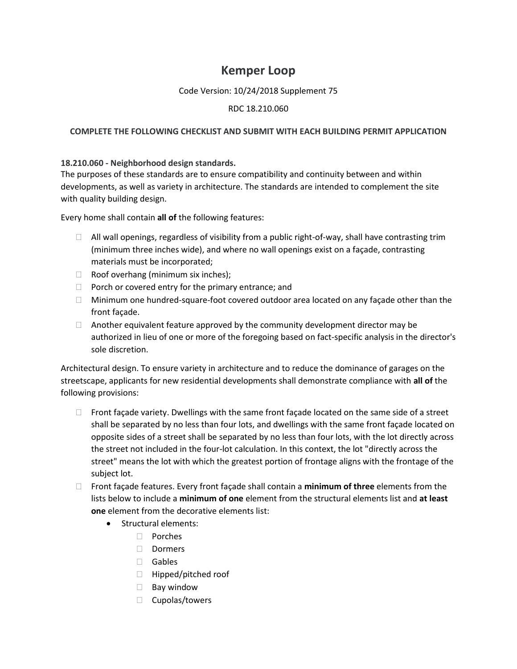# **Kemper Loop**

## Code Version: 10/24/2018 Supplement 75

## RDC 18.210.060

#### **COMPLETE THE FOLLOWING CHECKLIST AND SUBMIT WITH EACH BUILDING PERMIT APPLICATION**

#### **18.210.060 - Neighborhood design standards.**

The purposes of these standards are to ensure compatibility and continuity between and within developments, as well as variety in architecture. The standards are intended to complement the site with quality building design.

Every home shall contain **all of** the following features:

- $\Box$  All wall openings, regardless of visibility from a public right-of-way, shall have contrasting trim (minimum three inches wide), and where no wall openings exist on a façade, contrasting materials must be incorporated;
- $\Box$  Roof overhang (minimum six inches);
- $\Box$  Porch or covered entry for the primary entrance; and
- $\Box$  Minimum one hundred-square-foot covered outdoor area located on any façade other than the front façade.
- $\Box$  Another equivalent feature approved by the community development director may be authorized in lieu of one or more of the foregoing based on fact-specific analysis in the director's sole discretion.

Architectural design. To ensure variety in architecture and to reduce the dominance of garages on the streetscape, applicants for new residential developments shall demonstrate compliance with **all of** the following provisions:

- $\Box$  Front façade variety. Dwellings with the same front façade located on the same side of a street shall be separated by no less than four lots, and dwellings with the same front façade located on opposite sides of a street shall be separated by no less than four lots, with the lot directly across the street not included in the four-lot calculation. In this context, the lot "directly across the street" means the lot with which the greatest portion of frontage aligns with the frontage of the subject lot.
- Front façade features. Every front façade shall contain a **minimum of three** elements from the lists below to include a **minimum of one** element from the structural elements list and **at least one** element from the decorative elements list:
	- Structural elements:
		- Porches
		- □ Dormers
		- Gables
		- □ Hipped/pitched roof
		- $\Box$  Bay window
		- $\Box$  Cupolas/towers